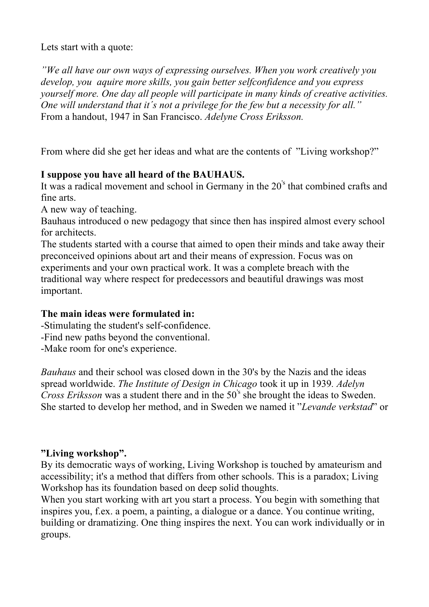Lets start with a quote:

*"We all have our own ways of expressing ourselves. When you work creatively you develop, you aquire more skills, you gain better selfconfidence and you express yourself more. One day all people will participate in many kinds of creative activities. One will understand that it´s not a privilege for the few but a necessity for all."* From a handout, 1947 in San Francisco. *Adelyne Cross Eriksson.*

From where did she get her ideas and what are the contents of "Living workshop?"

## **I suppose you have all heard of the BAUHAUS.**

It was a radical movement and school in Germany in the 20's that combined crafts and fine arts.

A new way of teaching.

Bauhaus introduced o new pedagogy that since then has inspired almost every school for architects.

The students started with a course that aimed to open their minds and take away their preconceived opinions about art and their means of expression. Focus was on experiments and your own practical work. It was a complete breach with the traditional way where respect for predecessors and beautiful drawings was most important.

## **The main ideas were formulated in:**

-Stimulating the student's self-confidence.

-Find new paths beyond the conventional.

-Make room for one's experience.

*Bauhaus* and their school was closed down in the 30's by the Nazis and the ideas spread worldwide. *The Institute of Design in Chicago* took it up in 1939*. Adelyn Cross Eriksson* was a student there and in the 50's she brought the ideas to Sweden. She started to develop her method, and in Sweden we named it "*Levande verkstad*" or

## **"Living workshop".**

By its democratic ways of working, Living Workshop is touched by amateurism and accessibility; it's a method that differs from other schools. This is a paradox; Living Workshop has its foundation based on deep solid thoughts.

When you start working with art you start a process. You begin with something that inspires you, f.ex. a poem, a painting, a dialogue or a dance. You continue writing, building or dramatizing. One thing inspires the next. You can work individually or in groups.